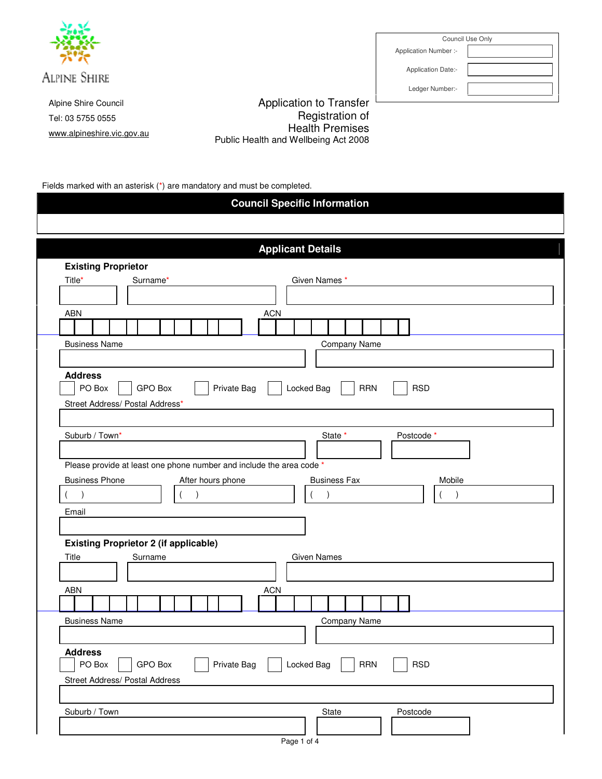

Alpine Shire Council Tel: 03 5755 0555 www.alpineshire.vic.gov.au

Application to Transfer Registration of Health Premises Public Health and Wellbeing Act 2008

Fields marked with an asterisk (\*) are mandatory and must be completed.

|                            |                                                                      |             | <b>Applicant Details</b>        |  |
|----------------------------|----------------------------------------------------------------------|-------------|---------------------------------|--|
| <b>Existing Proprietor</b> |                                                                      |             |                                 |  |
| Title*                     | Surname*                                                             |             | Given Names *                   |  |
|                            |                                                                      |             |                                 |  |
| <b>ABN</b>                 |                                                                      | <b>ACN</b>  |                                 |  |
|                            |                                                                      |             |                                 |  |
| <b>Business Name</b>       |                                                                      |             | Company Name                    |  |
|                            |                                                                      |             |                                 |  |
| <b>Address</b>             |                                                                      |             |                                 |  |
| PO Box                     | GPO Box                                                              | Private Bag | RRN<br><b>RSD</b><br>Locked Bag |  |
|                            | Street Address/ Postal Address*                                      |             |                                 |  |
|                            |                                                                      |             |                                 |  |
| Suburb / Town*             |                                                                      |             | Postcode*<br>State *            |  |
|                            |                                                                      |             |                                 |  |
|                            | Please provide at least one phone number and include the area code * |             |                                 |  |
| <b>Business Phone</b>      | After hours phone                                                    |             | <b>Business Fax</b><br>Mobile   |  |
| $\lambda$                  |                                                                      |             | $\overline{\phantom{a}}$        |  |
| Email                      |                                                                      |             |                                 |  |
|                            |                                                                      |             |                                 |  |
|                            | <b>Existing Proprietor 2 (if applicable)</b>                         |             |                                 |  |
| Title                      | Surname                                                              |             | <b>Given Names</b>              |  |
|                            |                                                                      |             |                                 |  |
| <b>ABN</b>                 |                                                                      | <b>ACN</b>  |                                 |  |
|                            |                                                                      |             |                                 |  |
| <b>Business Name</b>       |                                                                      |             | <b>Company Name</b>             |  |
|                            |                                                                      |             |                                 |  |
|                            |                                                                      |             |                                 |  |
| <b>Address</b>             | GPO Box                                                              | Private Bag | Locked Bag<br><b>RSD</b><br>RRN |  |
| PO Box                     |                                                                      |             |                                 |  |

Council Use Only Application Number :-

Application Date:-

Ledger Number:-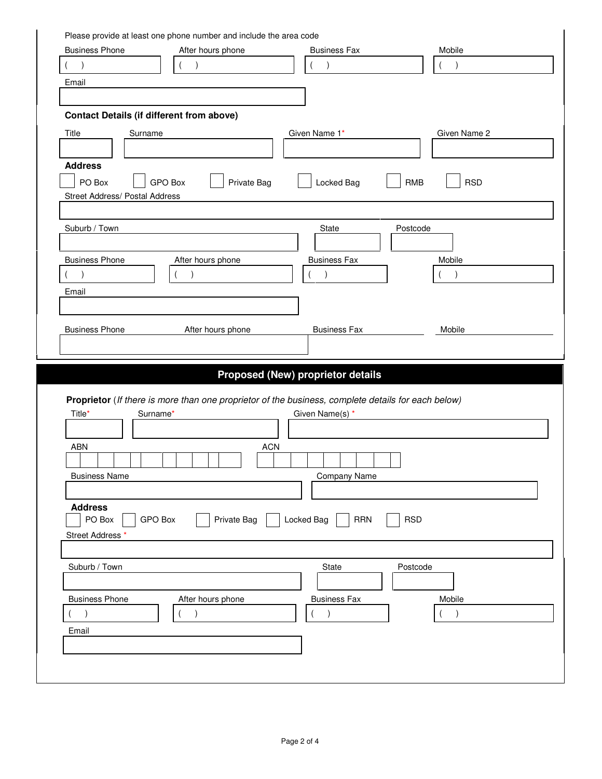| Please provide at least one phone number and include the area code<br><b>Business Phone</b> | After hours phone             | <b>Business Fax</b>                                                                                | Mobile                   |
|---------------------------------------------------------------------------------------------|-------------------------------|----------------------------------------------------------------------------------------------------|--------------------------|
| $\mathcal{E}$                                                                               |                               | $\lambda$                                                                                          | $\lambda$                |
| Email                                                                                       |                               |                                                                                                    |                          |
|                                                                                             |                               |                                                                                                    |                          |
| <b>Contact Details (if different from above)</b>                                            |                               |                                                                                                    |                          |
| Title<br>Surname                                                                            |                               | Given Name 1*                                                                                      | Given Name 2             |
|                                                                                             |                               |                                                                                                    |                          |
|                                                                                             |                               |                                                                                                    |                          |
| <b>Address</b>                                                                              |                               |                                                                                                    |                          |
| PO Box                                                                                      | <b>GPO Box</b><br>Private Bag | Locked Bag                                                                                         | <b>RMB</b><br><b>RSD</b> |
| Street Address/ Postal Address                                                              |                               |                                                                                                    |                          |
|                                                                                             |                               |                                                                                                    |                          |
| Suburb / Town                                                                               |                               | State                                                                                              | Postcode                 |
|                                                                                             |                               |                                                                                                    |                          |
| <b>Business Phone</b>                                                                       | After hours phone             | <b>Business Fax</b>                                                                                | Mobile                   |
|                                                                                             |                               | $\lambda$                                                                                          |                          |
| Email                                                                                       |                               |                                                                                                    |                          |
|                                                                                             |                               |                                                                                                    |                          |
|                                                                                             |                               |                                                                                                    |                          |
|                                                                                             |                               |                                                                                                    |                          |
|                                                                                             | After hours phone             | <b>Business Fax</b>                                                                                | Mobile                   |
|                                                                                             |                               |                                                                                                    |                          |
|                                                                                             |                               | <b>Proposed (New) proprietor details</b>                                                           |                          |
| <b>Business Phone</b>                                                                       |                               |                                                                                                    |                          |
|                                                                                             |                               | Proprietor (If there is more than one proprietor of the business, complete details for each below) |                          |
| Title*<br>Surname*                                                                          |                               | Given Name(s) *                                                                                    |                          |
|                                                                                             |                               |                                                                                                    |                          |
| <b>ABN</b>                                                                                  | <b>ACN</b>                    |                                                                                                    |                          |
|                                                                                             |                               |                                                                                                    |                          |
| <b>Business Name</b>                                                                        |                               | Company Name                                                                                       |                          |
|                                                                                             |                               |                                                                                                    |                          |
| <b>Address</b>                                                                              |                               |                                                                                                    |                          |
| PO Box<br>GPO Box                                                                           | Private Bag                   | Locked Bag<br><b>RRN</b>                                                                           | <b>RSD</b>               |
|                                                                                             |                               |                                                                                                    |                          |
|                                                                                             |                               |                                                                                                    |                          |
| Suburb / Town                                                                               |                               | State                                                                                              | Postcode                 |
| Street Address *                                                                            |                               |                                                                                                    |                          |
| <b>Business Phone</b>                                                                       | After hours phone             | <b>Business Fax</b>                                                                                | Mobile                   |
| $\left( \right)$                                                                            | $\left( \right)$              | $\big)$                                                                                            | $\lambda$                |
| Email                                                                                       |                               |                                                                                                    |                          |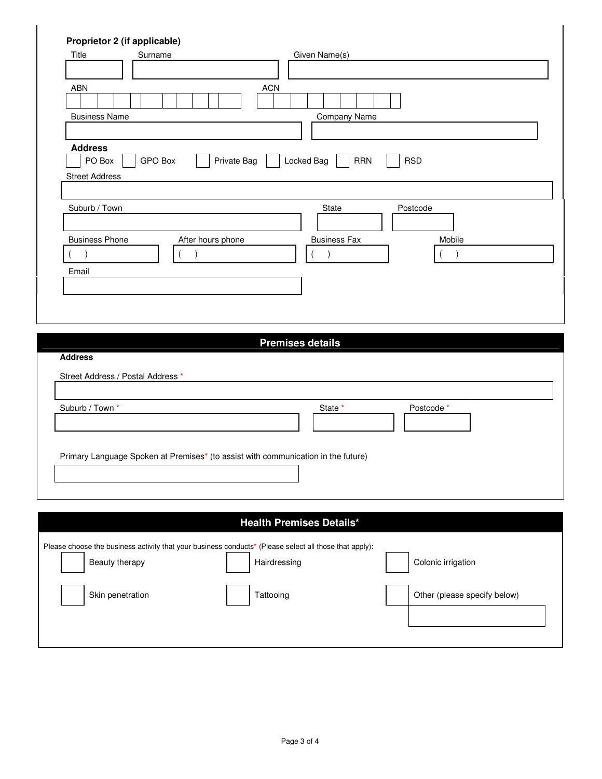| Title                             | Surname           | Given Name(s)                                                                                          |  |
|-----------------------------------|-------------------|--------------------------------------------------------------------------------------------------------|--|
|                                   |                   |                                                                                                        |  |
| <b>ABN</b>                        |                   | <b>ACN</b>                                                                                             |  |
|                                   |                   |                                                                                                        |  |
|                                   |                   |                                                                                                        |  |
| <b>Business Name</b>              |                   | Company Name                                                                                           |  |
|                                   |                   |                                                                                                        |  |
| <b>Address</b>                    |                   |                                                                                                        |  |
| PO Box                            | <b>GPO Box</b>    | Private Bag<br>Locked Bag<br><b>RRN</b><br><b>RSD</b>                                                  |  |
| <b>Street Address</b>             |                   |                                                                                                        |  |
|                                   |                   |                                                                                                        |  |
| Suburb / Town                     |                   | State<br>Postcode                                                                                      |  |
|                                   |                   |                                                                                                        |  |
|                                   |                   |                                                                                                        |  |
| <b>Business Phone</b>             | After hours phone | <b>Business Fax</b><br>Mobile                                                                          |  |
| $\lambda$                         |                   | $\lambda$<br>$\lambda$                                                                                 |  |
| Email                             |                   |                                                                                                        |  |
|                                   |                   |                                                                                                        |  |
|                                   |                   |                                                                                                        |  |
|                                   |                   |                                                                                                        |  |
|                                   |                   |                                                                                                        |  |
|                                   |                   |                                                                                                        |  |
|                                   |                   |                                                                                                        |  |
|                                   |                   | <b>Premises details</b>                                                                                |  |
| <b>Address</b>                    |                   |                                                                                                        |  |
|                                   |                   |                                                                                                        |  |
| Street Address / Postal Address * |                   |                                                                                                        |  |
| Suburb / Town *                   |                   |                                                                                                        |  |
|                                   |                   | State *<br>Postcode *                                                                                  |  |
|                                   |                   |                                                                                                        |  |
|                                   |                   |                                                                                                        |  |
|                                   |                   | Primary Language Spoken at Premises* (to assist with communication in the future)                      |  |
|                                   |                   |                                                                                                        |  |
|                                   |                   |                                                                                                        |  |
|                                   |                   |                                                                                                        |  |
|                                   |                   |                                                                                                        |  |
|                                   |                   | <b>Health Premises Details*</b>                                                                        |  |
|                                   |                   |                                                                                                        |  |
|                                   |                   | Please choose the business activity that your business conducts* (Please select all those that apply): |  |
| Beauty therapy                    |                   | Colonic irrigation<br>Hairdressing                                                                     |  |
|                                   |                   |                                                                                                        |  |
| Skin penetration                  |                   | Tattooing<br>Other (please specify below)                                                              |  |
|                                   |                   |                                                                                                        |  |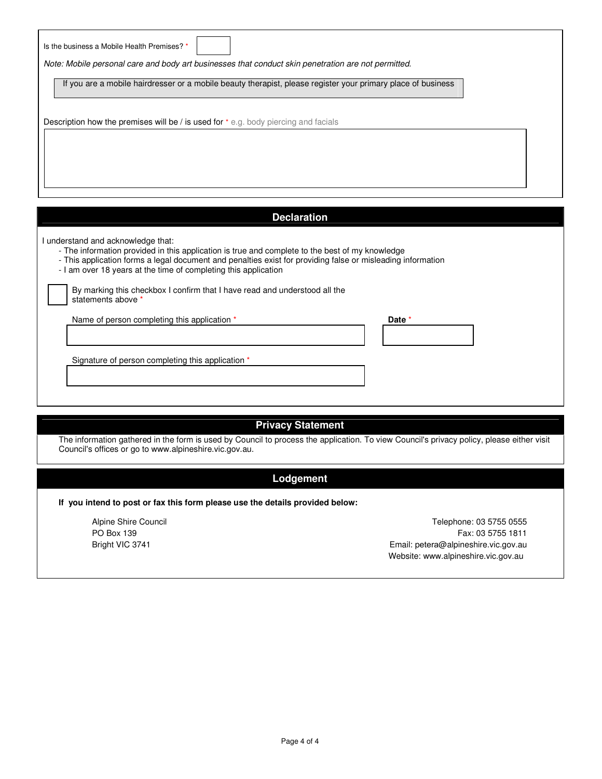| Is the business a Mobile Health Premises? *<br>Note: Mobile personal care and body art businesses that conduct skin penetration are not permitted.                                                                                                                                                                      |        |
|-------------------------------------------------------------------------------------------------------------------------------------------------------------------------------------------------------------------------------------------------------------------------------------------------------------------------|--------|
| If you are a mobile hairdresser or a mobile beauty therapist, please register your primary place of business                                                                                                                                                                                                            |        |
| Description how the premises will be / is used for $*$ e.g. body piercing and facials                                                                                                                                                                                                                                   |        |
|                                                                                                                                                                                                                                                                                                                         |        |
| <b>Declaration</b>                                                                                                                                                                                                                                                                                                      |        |
| I understand and acknowledge that:<br>- The information provided in this application is true and complete to the best of my knowledge<br>- This application forms a legal document and penalties exist for providing false or misleading information<br>- I am over 18 years at the time of completing this application |        |
|                                                                                                                                                                                                                                                                                                                         |        |
| By marking this checkbox I confirm that I have read and understood all the<br>statements above *                                                                                                                                                                                                                        |        |
| Name of person completing this application *                                                                                                                                                                                                                                                                            | Date * |

# **Privacy Statement**

The information gathered in the form is used by Council to process the application. To view Council's privacy policy, please either visit Council's offices or go to www.alpineshire.vic.gov.au.

## **Lodgement**

**If you intend to post or fax this form please use the details provided below:** 

Alpine Shire Council PO Box 139 Bright VIC 3741

Telephone: 03 5755 0555 Fax: 03 5755 1811 Email: petera@alpineshire.vic.gov.au Website: www.alpineshire.vic.gov.au